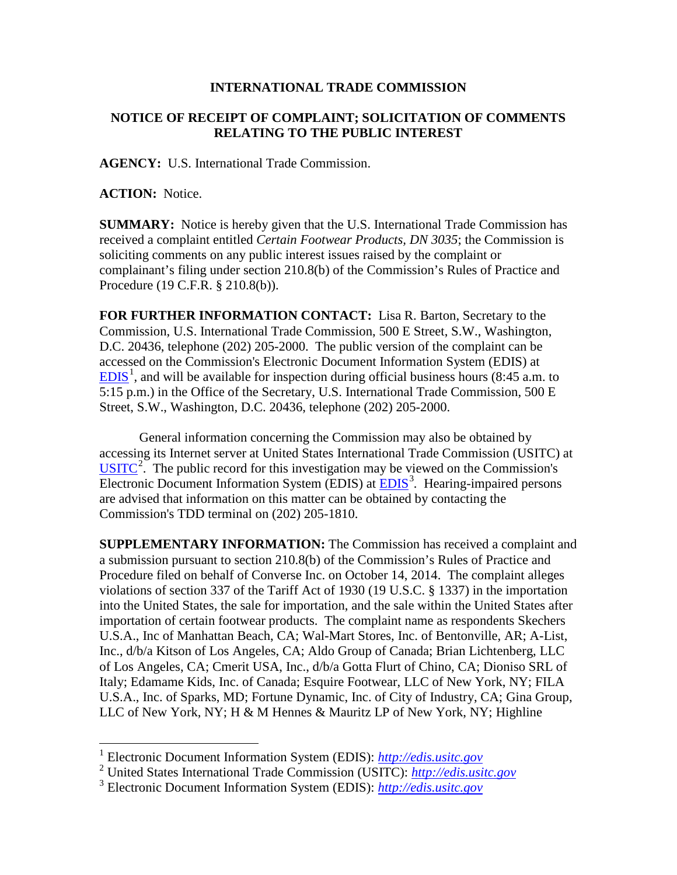## **INTERNATIONAL TRADE COMMISSION**

## **NOTICE OF RECEIPT OF COMPLAINT; SOLICITATION OF COMMENTS RELATING TO THE PUBLIC INTEREST**

**AGENCY:** U.S. International Trade Commission.

**ACTION:** Notice.

 $\overline{a}$ 

**SUMMARY:** Notice is hereby given that the U.S. International Trade Commission has received a complaint entitled *Certain Footwear Products, DN 3035*; the Commission is soliciting comments on any public interest issues raised by the complaint or complainant's filing under section 210.8(b) of the Commission's Rules of Practice and Procedure (19 C.F.R. § 210.8(b)).

**FOR FURTHER INFORMATION CONTACT:** Lisa R. Barton, Secretary to the Commission, U.S. International Trade Commission, 500 E Street, S.W., Washington, D.C. 20436, telephone (202) 205-2000. The public version of the complaint can be accessed on the Commission's Electronic Document Information System (EDIS) at  $EDIS<sup>1</sup>$  $EDIS<sup>1</sup>$  $EDIS<sup>1</sup>$  $EDIS<sup>1</sup>$ , and will be available for inspection during official business hours (8:45 a.m. to 5:15 p.m.) in the Office of the Secretary, U.S. International Trade Commission, 500 E Street, S.W., Washington, D.C. 20436, telephone (202) 205-2000.

General information concerning the Commission may also be obtained by accessing its Internet server at United States International Trade Commission (USITC) at  $\overline{USTTC}^2$  $\overline{USTTC}^2$ . The public record for this investigation may be viewed on the Commission's Electronic Document Information System (EDIS) at **EDIS**<sup>[3](#page-0-2)</sup>. Hearing-impaired persons are advised that information on this matter can be obtained by contacting the Commission's TDD terminal on (202) 205-1810.

**SUPPLEMENTARY INFORMATION:** The Commission has received a complaint and a submission pursuant to section 210.8(b) of the Commission's Rules of Practice and Procedure filed on behalf of Converse Inc. on October 14, 2014. The complaint alleges violations of section 337 of the Tariff Act of 1930 (19 U.S.C. § 1337) in the importation into the United States, the sale for importation, and the sale within the United States after importation of certain footwear products. The complaint name as respondents Skechers U.S.A., Inc of Manhattan Beach, CA; Wal-Mart Stores, Inc. of Bentonville, AR; A-List, Inc., d/b/a Kitson of Los Angeles, CA; Aldo Group of Canada; Brian Lichtenberg, LLC of Los Angeles, CA; Cmerit USA, Inc., d/b/a Gotta Flurt of Chino, CA; Dioniso SRL of Italy; Edamame Kids, Inc. of Canada; Esquire Footwear, LLC of New York, NY; FILA U.S.A., Inc. of Sparks, MD; Fortune Dynamic, Inc. of City of Industry, CA; Gina Group, LLC of New York, NY; H & M Hennes & Mauritz LP of New York, NY; Highline

<span id="page-0-0"></span><sup>1</sup> Electronic Document Information System (EDIS): *[http://edis.usitc.gov](http://edis.usitc.gov/)*

<span id="page-0-1"></span><sup>2</sup> United States International Trade Commission (USITC): *[http://edis.usitc.gov](http://edis.usitc.gov/)*

<span id="page-0-2"></span><sup>3</sup> Electronic Document Information System (EDIS): *[http://edis.usitc.gov](http://edis.usitc.gov/)*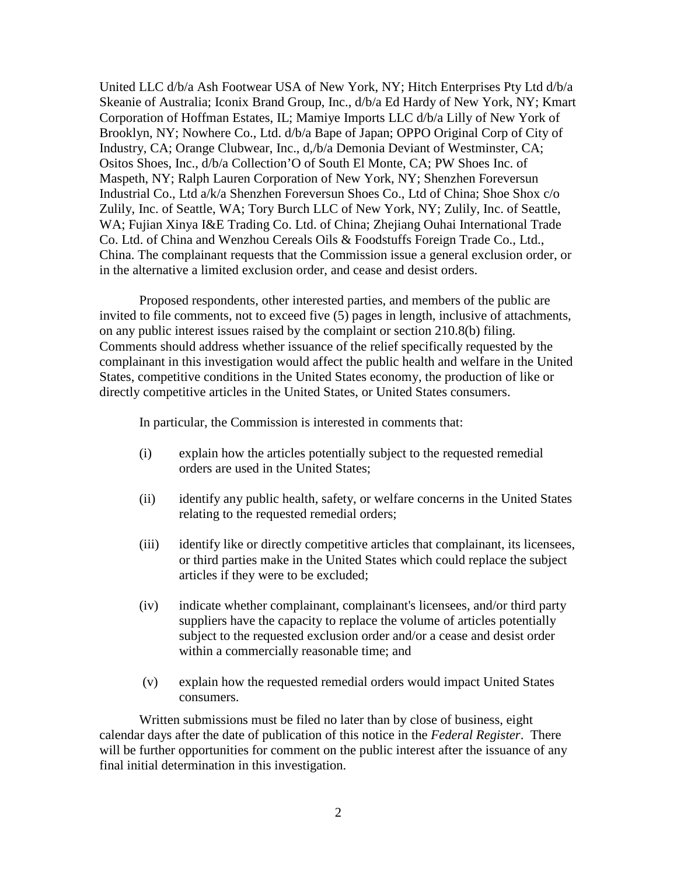United LLC d/b/a Ash Footwear USA of New York, NY; Hitch Enterprises Pty Ltd d/b/a Skeanie of Australia; Iconix Brand Group, Inc., d/b/a Ed Hardy of New York, NY; Kmart Corporation of Hoffman Estates, IL; Mamiye Imports LLC d/b/a Lilly of New York of Brooklyn, NY; Nowhere Co., Ltd. d/b/a Bape of Japan; OPPO Original Corp of City of Industry, CA; Orange Clubwear, Inc., d,/b/a Demonia Deviant of Westminster, CA; Ositos Shoes, Inc., d/b/a Collection'O of South El Monte, CA; PW Shoes Inc. of Maspeth, NY; Ralph Lauren Corporation of New York, NY; Shenzhen Foreversun Industrial Co., Ltd a/k/a Shenzhen Foreversun Shoes Co., Ltd of China; Shoe Shox c/o Zulily, Inc. of Seattle, WA; Tory Burch LLC of New York, NY; Zulily, Inc. of Seattle, WA; Fujian Xinya I&E Trading Co. Ltd. of China; Zhejiang Ouhai International Trade Co. Ltd. of China and Wenzhou Cereals Oils & Foodstuffs Foreign Trade Co., Ltd., China. The complainant requests that the Commission issue a general exclusion order, or in the alternative a limited exclusion order, and cease and desist orders.

Proposed respondents, other interested parties, and members of the public are invited to file comments, not to exceed five (5) pages in length, inclusive of attachments, on any public interest issues raised by the complaint or section 210.8(b) filing. Comments should address whether issuance of the relief specifically requested by the complainant in this investigation would affect the public health and welfare in the United States, competitive conditions in the United States economy, the production of like or directly competitive articles in the United States, or United States consumers.

In particular, the Commission is interested in comments that:

- (i) explain how the articles potentially subject to the requested remedial orders are used in the United States;
- (ii) identify any public health, safety, or welfare concerns in the United States relating to the requested remedial orders;
- (iii) identify like or directly competitive articles that complainant, its licensees, or third parties make in the United States which could replace the subject articles if they were to be excluded;
- (iv) indicate whether complainant, complainant's licensees, and/or third party suppliers have the capacity to replace the volume of articles potentially subject to the requested exclusion order and/or a cease and desist order within a commercially reasonable time; and
- (v) explain how the requested remedial orders would impact United States consumers.

Written submissions must be filed no later than by close of business, eight calendar days after the date of publication of this notice in the *Federal Register*. There will be further opportunities for comment on the public interest after the issuance of any final initial determination in this investigation.